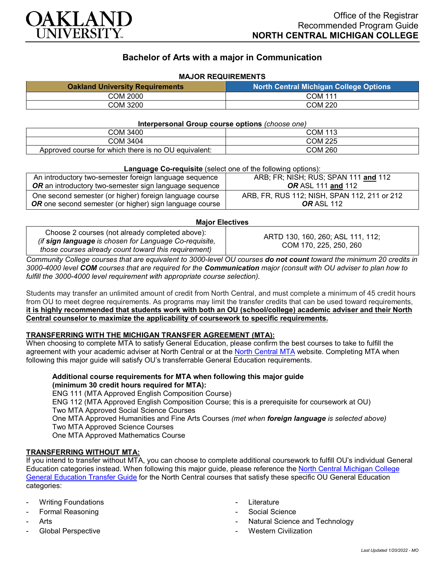

# **Bachelor of Arts with a major in Communication**

## **MAJOR REQUIREMENTS**

| <b>Oakland University Requirements</b> | <b>North Central Michigan College Options</b> |
|----------------------------------------|-----------------------------------------------|
| COM 2000                               | <b>COM 111</b>                                |
| COM 3200                               | COM 220                                       |

#### **Interpersonal Group course options** *(choose one)*

| COM 3400                                                                        | COM 113 |
|---------------------------------------------------------------------------------|---------|
| COM 3404                                                                        | COM 225 |
| OU<br>$\cdot$ there is no $\cdot$<br>l equivalent:<br>Approved course for which | COM 260 |

#### **Language Co-requisite** (select one of the following options):

| An introductory two-semester foreign language sequence                                                                    | ARB; FR; NISH; RUS; SPAN 111 and 112                              |
|---------------------------------------------------------------------------------------------------------------------------|-------------------------------------------------------------------|
| <b>OR</b> an introductory two-semester sign language sequence                                                             | <b>OR</b> ASL 111 and 112                                         |
| One second semester (or higher) foreign language course<br><b>OR</b> one second semester (or higher) sign language course | ARB, FR, RUS 112; NISH, SPAN 112, 211 or 212<br><b>OR</b> ASL 112 |

#### **Major Electives**

Choose 2 courses (not already completed above): *(if sign language is chosen for Language Co-requisite, those courses already count toward this requirement)*

ARTD 130, 160, 260; ASL 111, 112; COM 170, 225, 250, 260

*Community College courses that are equivalent to 3000-level OU courses do not count toward the minimum 20 credits in 3000-4000 level COM courses that are required for the Communication major (consult with OU adviser to plan how to fulfill the 3000-4000 level requirement with appropriate course selection).*

Students may transfer an unlimited amount of credit from North Central, and must complete a minimum of 45 credit hours from OU to meet degree requirements. As programs may limit the transfer credits that can be used toward requirements, **it is highly recommended that students work with both an OU (school/college) academic adviser and their North Central counselor to maximize the applicability of coursework to specific requirements.**

#### **TRANSFERRING WITH THE MICHIGAN TRANSFER AGREEMENT (MTA):**

When choosing to complete MTA to satisfy General Education, please confirm the best courses to take to fulfill the agreement with your academic adviser at North Central or at the [North Central MTA](https://www.ncmich.edu/academics/michigan-transfer-agreement-mta.html) website. Completing MTA when following this major guide will satisfy OU's transferrable General Education requirements.

# **Additional course requirements for MTA when following this major guide (minimum 30 credit hours required for MTA):**

ENG 111 (MTA Approved English Composition Course) ENG 112 (MTA Approved English Composition Course; this is a prerequisite for coursework at OU) Two MTA Approved Social Science Courses One MTA Approved Humanities and Fine Arts Courses *(met when foreign language is selected above)* Two MTA Approved Science Courses One MTA Approved Mathematics Course

## **TRANSFERRING WITHOUT MTA:**

If you intend to transfer without MTA, you can choose to complete additional coursework to fulfill OU's individual General Education categories instead. When following this major guide, please reference the [North Central Michigan College](https://www.oakland.edu/Assets/Oakland/program-guides/north-central-michigan-college/university-general-education-requirements/North%20Central%20Michigan%20Gen%20Ed.pdf)  [General Education Transfer Guide](https://www.oakland.edu/Assets/Oakland/program-guides/north-central-michigan-college/university-general-education-requirements/North%20Central%20Michigan%20Gen%20Ed.pdf) for the North Central courses that satisfy these specific OU General Education categories:

- Writing Foundations
- Formal Reasoning
- Arts
- Global Perspective
- **Literature**
- Social Science
- Natural Science and Technology
- Western Civilization